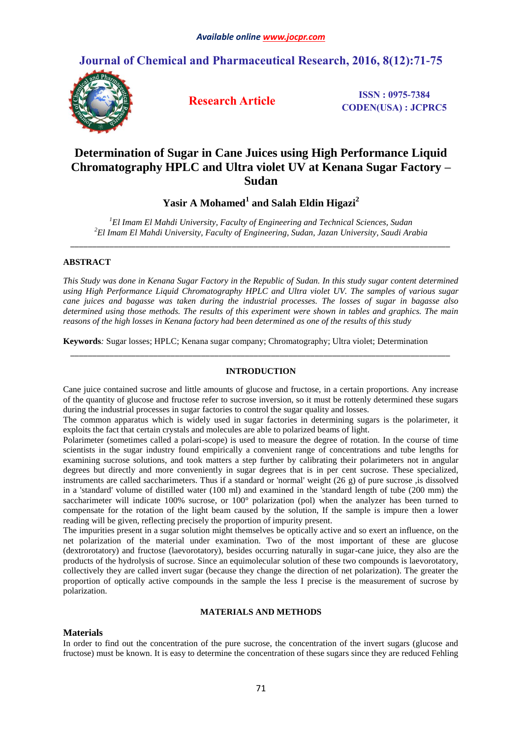## **Journal of Chemical and Pharmaceutical Research, 2016, 8(12):71-75**



**Research Article ISSN : 0975-7384 CODEN(USA) : JCPRC5**

# **Determination of Sugar in Cane Juices using High Performance Liquid Chromatography HPLC and Ultra violet UV at Kenana Sugar Factory – Sudan**

## **Yasir A Mohamed<sup>1</sup> and Salah Eldin Higazi<sup>2</sup>**

*<sup>1</sup>El Imam El Mahdi University, Faculty of Engineering and Technical Sciences, Sudan <sup>2</sup>El Imam El Mahdi University, Faculty of Engineering, Sudan, Jazan University, Saudi Arabia \_\_\_\_\_\_\_\_\_\_\_\_\_\_\_\_\_\_\_\_\_\_\_\_\_\_\_\_\_\_\_\_\_\_\_\_\_\_\_\_\_\_\_\_\_\_\_\_\_\_\_\_\_\_\_\_\_\_\_\_\_\_\_\_\_\_\_\_\_\_\_\_\_\_\_\_\_\_\_\_\_\_\_\_\_\_\_*

## **ABSTRACT**

*This Study was done in Kenana Sugar Factory in the Republic of Sudan. In this study sugar content determined using High Performance Liquid Chromatography HPLC and Ultra violet UV. The samples of various sugar cane juices and bagasse was taken during the industrial processes. The losses of sugar in bagasse also determined using those methods. The results of this experiment were shown in tables and graphics. The main reasons of the high losses in Kenana factory had been determined as one of the results of this study*

**Keywords***:* Sugar losses; HPLC; Kenana sugar company; Chromatography; Ultra violet; Determination

## **INTRODUCTION**

*\_\_\_\_\_\_\_\_\_\_\_\_\_\_\_\_\_\_\_\_\_\_\_\_\_\_\_\_\_\_\_\_\_\_\_\_\_\_\_\_\_\_\_\_\_\_\_\_\_\_\_\_\_\_\_\_\_\_\_\_\_\_\_\_\_\_\_\_\_\_\_\_\_\_\_\_\_\_\_\_\_\_\_\_\_\_\_*

Cane juice contained sucrose and little amounts of glucose and fructose, in a certain proportions. Any increase of the quantity of glucose and fructose refer to sucrose inversion, so it must be rottenly determined these sugars during the industrial processes in sugar factories to control the sugar quality and losses.

The common apparatus which is widely used in sugar factories in determining sugars is the polarimeter, it exploits the fact that certain crystals and molecules are able to polarized beams of light.

Polarimeter (sometimes called a polari-scope) is used to measure the degree of rotation. In the course of time scientists in the sugar industry found empirically a convenient range of concentrations and tube lengths for examining sucrose solutions, and took matters a step further by calibrating their polarimeters not in angular degrees but directly and more conveniently in sugar degrees that is in per cent sucrose. These specialized, instruments are called saccharimeters. Thus if a standard or 'normal' weight (26 g) of pure sucrose ,is dissolved in a 'standard' volume of distilled water (100 ml) and examined in the 'standard length of tube (200 mm) the saccharimeter will indicate 100% sucrose, or 100° polarization (pol) when the analyzer has been turned to compensate for the rotation of the light beam caused by the solution, If the sample is impure then a lower reading will be given, reflecting precisely the proportion of impurity present.

The impurities present in a sugar solution might themselves be optically active and so exert an influence, on the net polarization of the material under examination. Two of the most important of these are glucose (dextrorotatory) and fructose (laevorotatory), besides occurring naturally in sugar-cane juice, they also are the products of the hydrolysis of sucrose. Since an equimolecular solution of these two compounds is laevorotatory, collectively they are called invert sugar (because they change the direction of net polarization). The greater the proportion of optically active compounds in the sample the less I precise is the measurement of sucrose by polarization.

### **MATERIALS AND METHODS**

## **Materials**

In order to find out the concentration of the pure sucrose, the concentration of the invert sugars (glucose and fructose) must be known. It is easy to determine the concentration of these sugars since they are reduced Fehling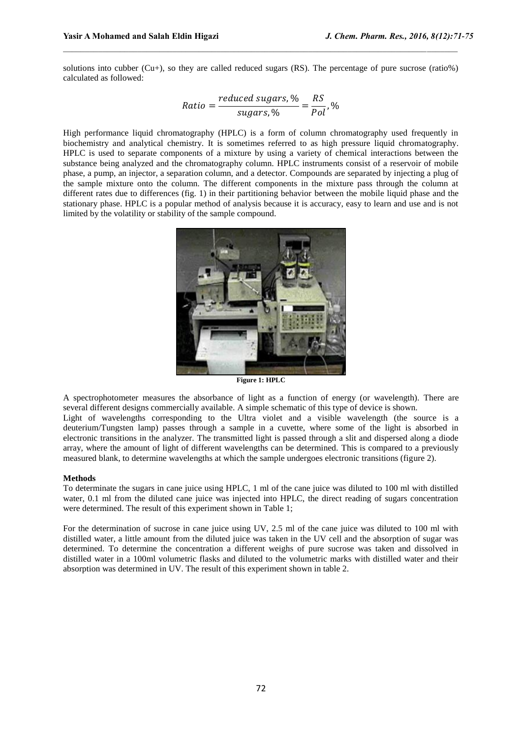solutions into cubber (Cu+), so they are called reduced sugars (RS). The percentage of pure sucrose (ratio%) calculated as followed:

 $\mathcal{L}_\mathcal{L}$  , and the state of the state of the state of the state of the state of the state of the state of the state of the state of the state of the state of the state of the state of the state of the state of the s

$$
Ratio = \frac{reduced\;sugars,\%}{sugars,\%} = \frac{RS}{Pol},\%
$$

High performance liquid chromatography (HPLC) is a form of column chromatography used frequently in biochemistry and analytical chemistry. It is sometimes referred to as high pressure liquid chromatography. HPLC is used to separate components of a mixture by using a variety of chemical interactions between the substance being analyzed and the chromatography column. HPLC instruments consist of a reservoir of mobile phase, a pump, an injector, a separation column, and a detector. Compounds are separated by injecting a plug of the sample mixture onto the column. The different components in the mixture pass through the column at different rates due to differences (fig. 1) in their partitioning behavior between the mobile liquid phase and the stationary phase. HPLC is a popular method of analysis because it is accuracy, easy to learn and use and is not limited by the volatility or stability of the sample compound.



**Figure 1: HPLC**

A spectrophotometer measures the absorbance of light as a function of energy (or wavelength). There are several different designs commercially available. A simple schematic of this type of device is shown.

Light of wavelengths corresponding to the Ultra violet and a visible wavelength (the source is a deuterium/Tungsten lamp) passes through a sample in a cuvette, where some of the light is absorbed in electronic transitions in the analyzer. The transmitted light is passed through a slit and dispersed along a diode array, where the amount of light of different wavelengths can be determined. This is compared to a previously measured blank, to determine wavelengths at which the sample undergoes electronic transitions (figure 2).

#### **Methods**

To determinate the sugars in cane juice using HPLC, 1 ml of the cane juice was diluted to 100 ml with distilled water, 0.1 ml from the diluted cane juice was injected into HPLC, the direct reading of sugars concentration were determined. The result of this experiment shown in Table 1;

For the determination of sucrose in cane juice using UV, 2.5 ml of the cane juice was diluted to 100 ml with distilled water, a little amount from the diluted juice was taken in the UV cell and the absorption of sugar was determined. To determine the concentration a different weighs of pure sucrose was taken and dissolved in distilled water in a 100ml volumetric flasks and diluted to the volumetric marks with distilled water and their absorption was determined in UV. The result of this experiment shown in table 2.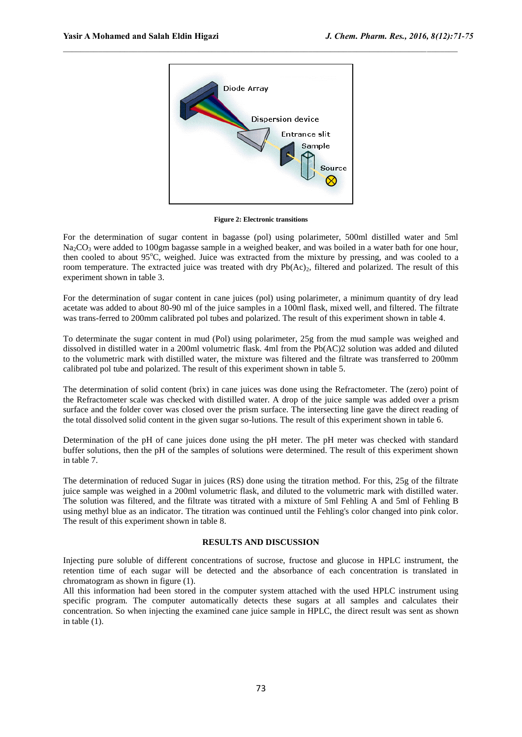

 $\mathcal{L}_\mathcal{L}$  , and the state of the state of the state of the state of the state of the state of the state of the state of the state of the state of the state of the state of the state of the state of the state of the s

**Figure 2: Electronic transitions**

For the determination of sugar content in bagasse (pol) using polarimeter, 500ml distilled water and 5ml  $Na_2CO_3$  were added to 100gm bagasse sample in a weighed beaker, and was boiled in a water bath for one hour, then cooled to about  $95^{\circ}$ C, weighed. Juice was extracted from the mixture by pressing, and was cooled to a room temperature. The extracted juice was treated with dry Pb(Ac)<sub>2</sub>, filtered and polarized. The result of this experiment shown in table 3.

For the determination of sugar content in cane juices (pol) using polarimeter, a minimum quantity of dry lead acetate was added to about 80-90 ml of the juice samples in a 100ml flask, mixed well, and filtered. The filtrate was trans-ferred to 200mm calibrated pol tubes and polarized. The result of this experiment shown in table 4.

To determinate the sugar content in mud (Pol) using polarimeter, 25g from the mud sample was weighed and dissolved in distilled water in a 200ml volumetric flask. 4ml from the Pb(AC)2 solution was added and diluted to the volumetric mark with distilled water, the mixture was filtered and the filtrate was transferred to 200mm calibrated pol tube and polarized. The result of this experiment shown in table 5.

The determination of solid content (brix) in cane juices was done using the Refractometer. The (zero) point of the Refractometer scale was checked with distilled water. A drop of the juice sample was added over a prism surface and the folder cover was closed over the prism surface. The intersecting line gave the direct reading of the total dissolved solid content in the given sugar so-lutions. The result of this experiment shown in table 6.

Determination of the pH of cane juices done using the pH meter. The pH meter was checked with standard buffer solutions, then the pH of the samples of solutions were determined. The result of this experiment shown in table 7.

The determination of reduced Sugar in juices (RS) done using the titration method. For this, 25g of the filtrate juice sample was weighed in a 200ml volumetric flask, and diluted to the volumetric mark with distilled water. The solution was filtered, and the filtrate was titrated with a mixture of 5ml Fehling A and 5ml of Fehling B using methyl blue as an indicator. The titration was continued until the Fehling's color changed into pink color. The result of this experiment shown in table 8.

#### **RESULTS AND DISCUSSION**

Injecting pure soluble of different concentrations of sucrose, fructose and glucose in HPLC instrument, the retention time of each sugar will be detected and the absorbance of each concentration is translated in chromatogram as shown in figure (1).

All this information had been stored in the computer system attached with the used HPLC instrument using specific program. The computer automatically detects these sugars at all samples and calculates their concentration. So when injecting the examined cane juice sample in HPLC, the direct result was sent as shown in table (1).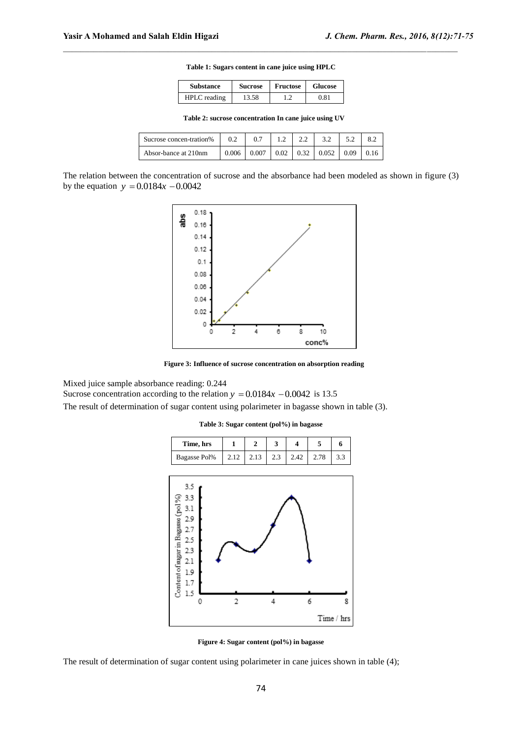**Table 1: Sugars content in cane juice using HPLC**

 $\mathcal{L}_\mathcal{L}$  , and the state of the state of the state of the state of the state of the state of the state of the state of the state of the state of the state of the state of the state of the state of the state of the s

| <b>Substance</b> | <b>Sucrose</b> | Fructose | <b>Glucose</b> |
|------------------|----------------|----------|----------------|
| $HPILC$ reading  | 13.58          |          | ን 81           |

**Table 2: sucrose concentration In cane juice using UV**

| Sucrose concen-tration% |       |       |      | 2.2  | 3.2                       | 52 |  |
|-------------------------|-------|-------|------|------|---------------------------|----|--|
| Absor-bance at 210nm    | 0.006 | 0.007 | 0.02 | 0.32 | $0.052 \pm 0.09 \pm 0.16$ |    |  |

The relation between the concentration of sucrose and the absorbance had been modeled as shown in figure (3) by the equation  $y = 0.0184x - 0.0042$ 



**Figure 3: Influence of sucrose concentration on absorption reading**

Mixed juice sample absorbance reading: 0.244

Sucrose concentration according to the relation  $y = 0.0184x - 0.0042$  is 13.5

The result of determination of sugar content using polarimeter in bagasse shown in table (3).

**Table 3: Sugar content (pol%) in bagasse**



**Figure 4: Sugar content (pol%) in bagasse**

The result of determination of sugar content using polarimeter in cane juices shown in table (4);